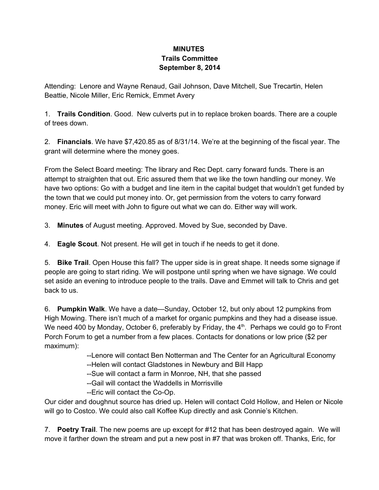## **MINUTES Trails Committee September 8, 2014**

Attending: Lenore and Wayne Renaud, Gail Johnson, Dave Mitchell, Sue Trecartin, Helen Beattie, Nicole Miller, Eric Remick, Emmet Avery

1. **Trails Condition**. Good. New culverts put in to replace broken boards. There are a couple of trees down.

2. **Financials**. We have \$7,420.85 as of 8/31/14. We're at the beginning of the fiscal year. The grant will determine where the money goes.

From the Select Board meeting: The library and Rec Dept. carry forward funds. There is an attempt to straighten that out. Eric assured them that we like the town handling our money. We have two options: Go with a budget and line item in the capital budget that wouldn't get funded by the town that we could put money into. Or, get permission from the voters to carry forward money. Eric will meet with John to figure out what we can do. Either way will work.

3. **Minutes** of August meeting. Approved. Moved by Sue, seconded by Dave.

4. **Eagle Scout**. Not present. He will get in touch if he needs to get it done.

5. **Bike Trail**. Open House this fall? The upper side is in great shape. It needs some signage if people are going to start riding. We will postpone until spring when we have signage. We could set aside an evening to introduce people to the trails. Dave and Emmet will talk to Chris and get back to us.

6. **Pumpkin Walk**. We have a date—Sunday, October 12, but only about 12 pumpkins from High Mowing. There isn't much of a market for organic pumpkins and they had a disease issue. We need 400 by Monday, October 6, preferably by Friday, the  $4<sup>th</sup>$ . Perhaps we could go to Front Porch Forum to get a number from a few places. Contacts for donations or low price (\$2 per maximum):

Lenore will contact Ben Notterman and The Center for an Agricultural Economy

--Helen will contact Gladstones in Newbury and Bill Happ

--Sue will contact a farm in Monroe, NH, that she passed

Gail will contact the Waddells in Morrisville

--Eric will contact the Co-Op.

Our cider and doughnut source has dried up. Helen will contact Cold Hollow, and Helen or Nicole will go to Costco. We could also call Koffee Kup directly and ask Connie's Kitchen.

7. **Poetry Trail**. The new poems are up except for #12 that has been destroyed again. We will move it farther down the stream and put a new post in #7 that was broken off. Thanks, Eric, for